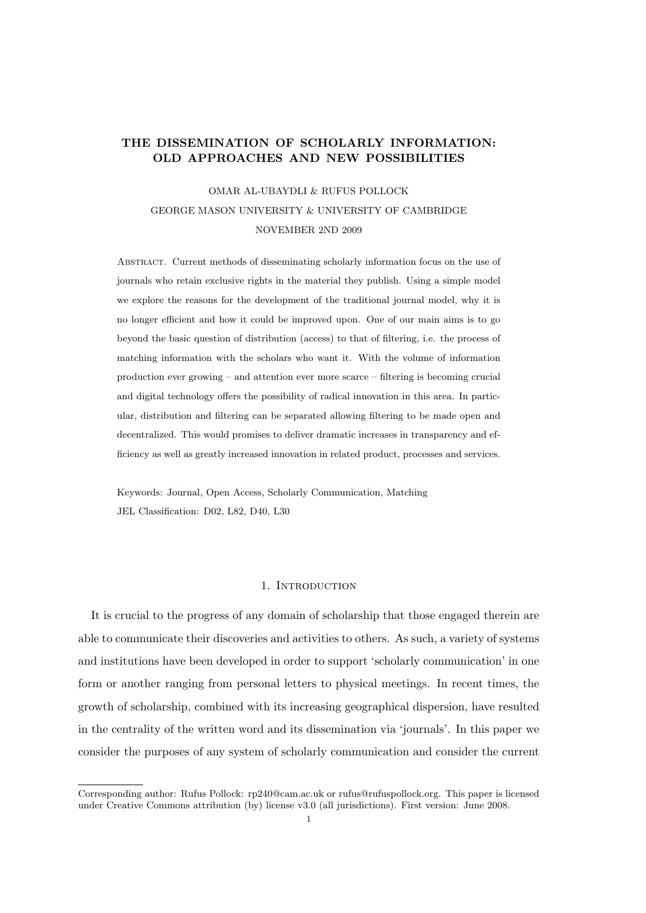# THE DISSEMINATION OF SCHOLARLY INFORMATION: OLD APPROACHES AND NEW POSSIBILITIES

# OMAR AL-UBAYDLI & RUFUS POLLOCK GEORGE MASON UNIVERSITY & UNIVERSITY OF CAMBRIDGE NOVEMBER 2ND 2009

Abstract. Current methods of disseminating scholarly information focus on the use of journals who retain exclusive rights in the material they publish. Using a simple model we explore the reasons for the development of the traditional journal model, why it is no longer efficient and how it could be improved upon. One of our main aims is to go beyond the basic question of distribution (access) to that of filtering, i.e. the process of matching information with the scholars who want it. With the volume of information production ever growing – and attention ever more scarce – filtering is becoming crucial and digital technology offers the possibility of radical innovation in this area. In particular, distribution and filtering can be separated allowing filtering to be made open and decentralized. This would promises to deliver dramatic increases in transparency and efficiency as well as greatly increased innovation in related product, processes and services.

Keywords: Journal, Open Access, Scholarly Communication, Matching JEL Classification: D02, L82, D40, L30

# 1. INTRODUCTION

It is crucial to the progress of any domain of scholarship that those engaged therein are able to communicate their discoveries and activities to others. As such, a variety of systems and institutions have been developed in order to support 'scholarly communication' in one form or another ranging from personal letters to physical meetings. In recent times, the growth of scholarship, combined with its increasing geographical dispersion, have resulted in the centrality of the written word and its dissemination via 'journals'. In this paper we consider the purposes of any system of scholarly communication and consider the current

Corresponding author: Rufus Pollock: rp240@cam.ac.uk or rufus@rufuspollock.org. This paper is licensed under Creative Commons attribution (by) license v3.0 (all jurisdictions). First version: June 2008.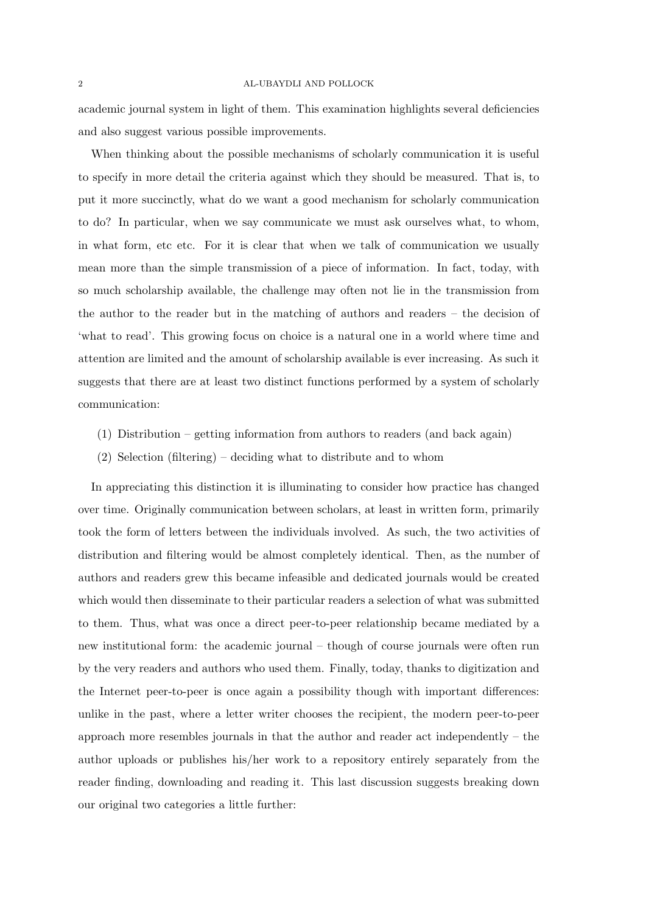academic journal system in light of them. This examination highlights several deficiencies and also suggest various possible improvements.

When thinking about the possible mechanisms of scholarly communication it is useful to specify in more detail the criteria against which they should be measured. That is, to put it more succinctly, what do we want a good mechanism for scholarly communication to do? In particular, when we say communicate we must ask ourselves what, to whom, in what form, etc etc. For it is clear that when we talk of communication we usually mean more than the simple transmission of a piece of information. In fact, today, with so much scholarship available, the challenge may often not lie in the transmission from the author to the reader but in the matching of authors and readers – the decision of 'what to read'. This growing focus on choice is a natural one in a world where time and attention are limited and the amount of scholarship available is ever increasing. As such it suggests that there are at least two distinct functions performed by a system of scholarly communication:

- (1) Distribution getting information from authors to readers (and back again)
- (2) Selection (filtering) deciding what to distribute and to whom

In appreciating this distinction it is illuminating to consider how practice has changed over time. Originally communication between scholars, at least in written form, primarily took the form of letters between the individuals involved. As such, the two activities of distribution and filtering would be almost completely identical. Then, as the number of authors and readers grew this became infeasible and dedicated journals would be created which would then disseminate to their particular readers a selection of what was submitted to them. Thus, what was once a direct peer-to-peer relationship became mediated by a new institutional form: the academic journal – though of course journals were often run by the very readers and authors who used them. Finally, today, thanks to digitization and the Internet peer-to-peer is once again a possibility though with important differences: unlike in the past, where a letter writer chooses the recipient, the modern peer-to-peer approach more resembles journals in that the author and reader act independently – the author uploads or publishes his/her work to a repository entirely separately from the reader finding, downloading and reading it. This last discussion suggests breaking down our original two categories a little further: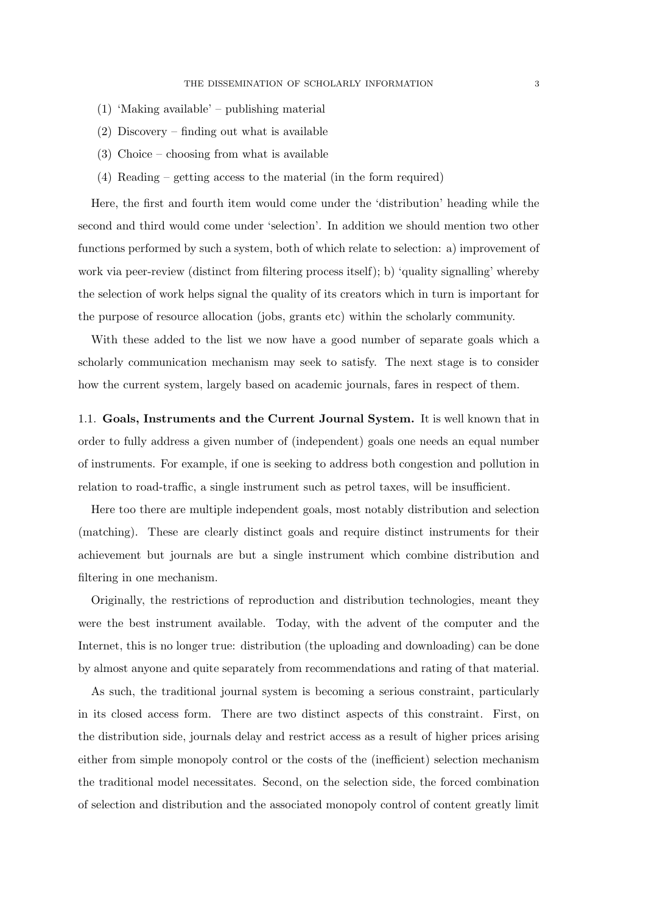- (1) 'Making available' publishing material
- (2) Discovery finding out what is available
- (3) Choice choosing from what is available
- (4) Reading getting access to the material (in the form required)

Here, the first and fourth item would come under the 'distribution' heading while the second and third would come under 'selection'. In addition we should mention two other functions performed by such a system, both of which relate to selection: a) improvement of work via peer-review (distinct from filtering process itself); b) 'quality signalling' whereby the selection of work helps signal the quality of its creators which in turn is important for the purpose of resource allocation (jobs, grants etc) within the scholarly community.

With these added to the list we now have a good number of separate goals which a scholarly communication mechanism may seek to satisfy. The next stage is to consider how the current system, largely based on academic journals, fares in respect of them.

1.1. Goals, Instruments and the Current Journal System. It is well known that in order to fully address a given number of (independent) goals one needs an equal number of instruments. For example, if one is seeking to address both congestion and pollution in relation to road-traffic, a single instrument such as petrol taxes, will be insufficient.

Here too there are multiple independent goals, most notably distribution and selection (matching). These are clearly distinct goals and require distinct instruments for their achievement but journals are but a single instrument which combine distribution and filtering in one mechanism.

Originally, the restrictions of reproduction and distribution technologies, meant they were the best instrument available. Today, with the advent of the computer and the Internet, this is no longer true: distribution (the uploading and downloading) can be done by almost anyone and quite separately from recommendations and rating of that material.

As such, the traditional journal system is becoming a serious constraint, particularly in its closed access form. There are two distinct aspects of this constraint. First, on the distribution side, journals delay and restrict access as a result of higher prices arising either from simple monopoly control or the costs of the (inefficient) selection mechanism the traditional model necessitates. Second, on the selection side, the forced combination of selection and distribution and the associated monopoly control of content greatly limit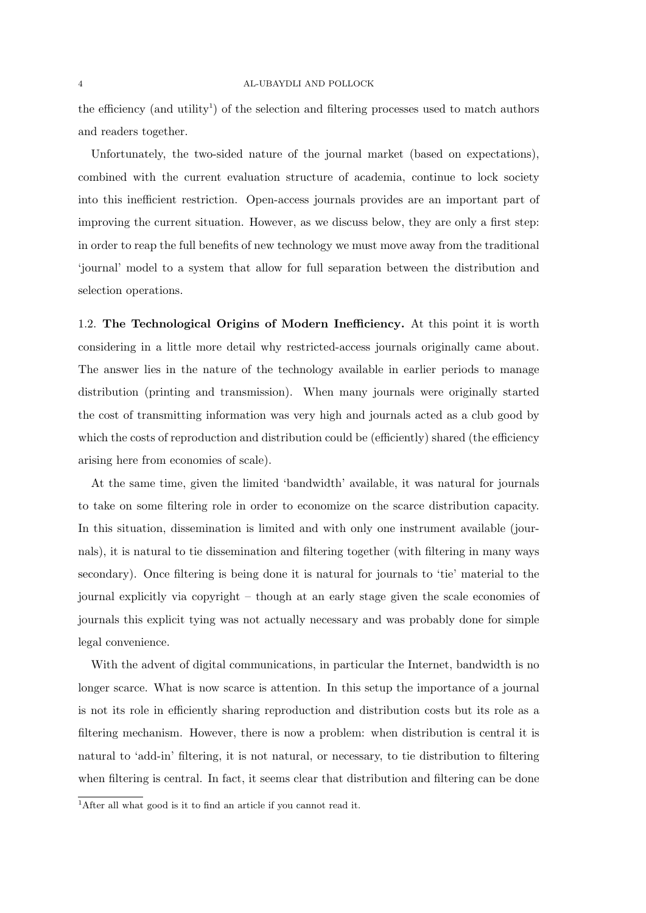#### 4 AL-UBAYDLI AND POLLOCK

the efficiency (and utility<sup>1</sup>) of the selection and filtering processes used to match authors and readers together.

Unfortunately, the two-sided nature of the journal market (based on expectations), combined with the current evaluation structure of academia, continue to lock society into this inefficient restriction. Open-access journals provides are an important part of improving the current situation. However, as we discuss below, they are only a first step: in order to reap the full benefits of new technology we must move away from the traditional 'journal' model to a system that allow for full separation between the distribution and selection operations.

1.2. The Technological Origins of Modern Inefficiency. At this point it is worth considering in a little more detail why restricted-access journals originally came about. The answer lies in the nature of the technology available in earlier periods to manage distribution (printing and transmission). When many journals were originally started the cost of transmitting information was very high and journals acted as a club good by which the costs of reproduction and distribution could be (efficiently) shared (the efficiency arising here from economies of scale).

At the same time, given the limited 'bandwidth' available, it was natural for journals to take on some filtering role in order to economize on the scarce distribution capacity. In this situation, dissemination is limited and with only one instrument available (journals), it is natural to tie dissemination and filtering together (with filtering in many ways secondary). Once filtering is being done it is natural for journals to 'tie' material to the journal explicitly via copyright – though at an early stage given the scale economies of journals this explicit tying was not actually necessary and was probably done for simple legal convenience.

With the advent of digital communications, in particular the Internet, bandwidth is no longer scarce. What is now scarce is attention. In this setup the importance of a journal is not its role in efficiently sharing reproduction and distribution costs but its role as a filtering mechanism. However, there is now a problem: when distribution is central it is natural to 'add-in' filtering, it is not natural, or necessary, to tie distribution to filtering when filtering is central. In fact, it seems clear that distribution and filtering can be done

<sup>&</sup>lt;sup>1</sup>After all what good is it to find an article if you cannot read it.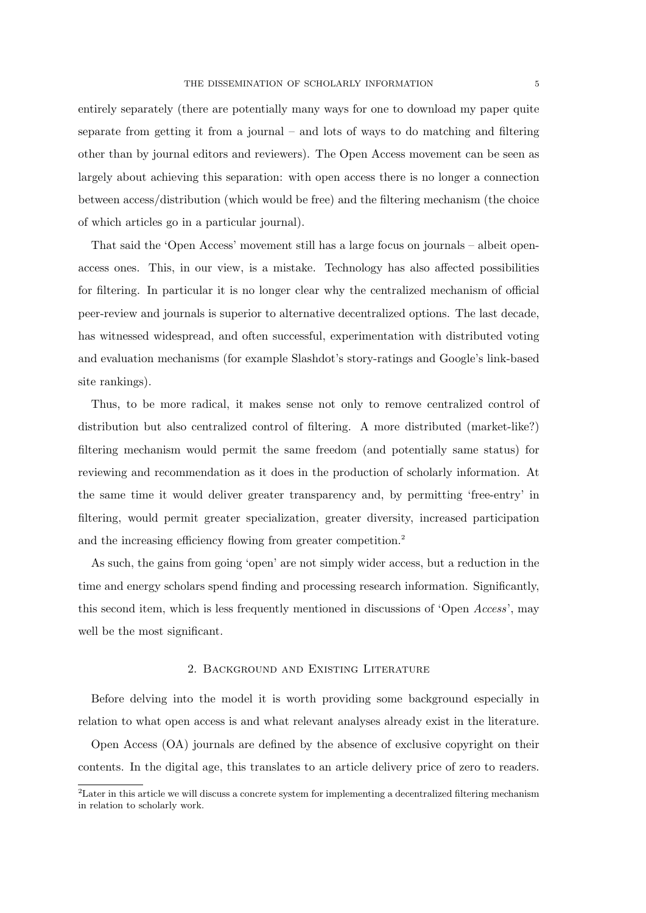entirely separately (there are potentially many ways for one to download my paper quite separate from getting it from a journal – and lots of ways to do matching and filtering other than by journal editors and reviewers). The Open Access movement can be seen as largely about achieving this separation: with open access there is no longer a connection between access/distribution (which would be free) and the filtering mechanism (the choice of which articles go in a particular journal).

That said the 'Open Access' movement still has a large focus on journals – albeit openaccess ones. This, in our view, is a mistake. Technology has also affected possibilities for filtering. In particular it is no longer clear why the centralized mechanism of official peer-review and journals is superior to alternative decentralized options. The last decade, has witnessed widespread, and often successful, experimentation with distributed voting and evaluation mechanisms (for example Slashdot's story-ratings and Google's link-based site rankings).

Thus, to be more radical, it makes sense not only to remove centralized control of distribution but also centralized control of filtering. A more distributed (market-like?) filtering mechanism would permit the same freedom (and potentially same status) for reviewing and recommendation as it does in the production of scholarly information. At the same time it would deliver greater transparency and, by permitting 'free-entry' in filtering, would permit greater specialization, greater diversity, increased participation and the increasing efficiency flowing from greater competition.<sup>2</sup>

As such, the gains from going 'open' are not simply wider access, but a reduction in the time and energy scholars spend finding and processing research information. Significantly, this second item, which is less frequently mentioned in discussions of 'Open Access', may well be the most significant.

## 2. Background and Existing Literature

Before delving into the model it is worth providing some background especially in relation to what open access is and what relevant analyses already exist in the literature.

Open Access (OA) journals are defined by the absence of exclusive copyright on their contents. In the digital age, this translates to an article delivery price of zero to readers.

<sup>&</sup>lt;sup>2</sup>Later in this article we will discuss a concrete system for implementing a decentralized filtering mechanism in relation to scholarly work.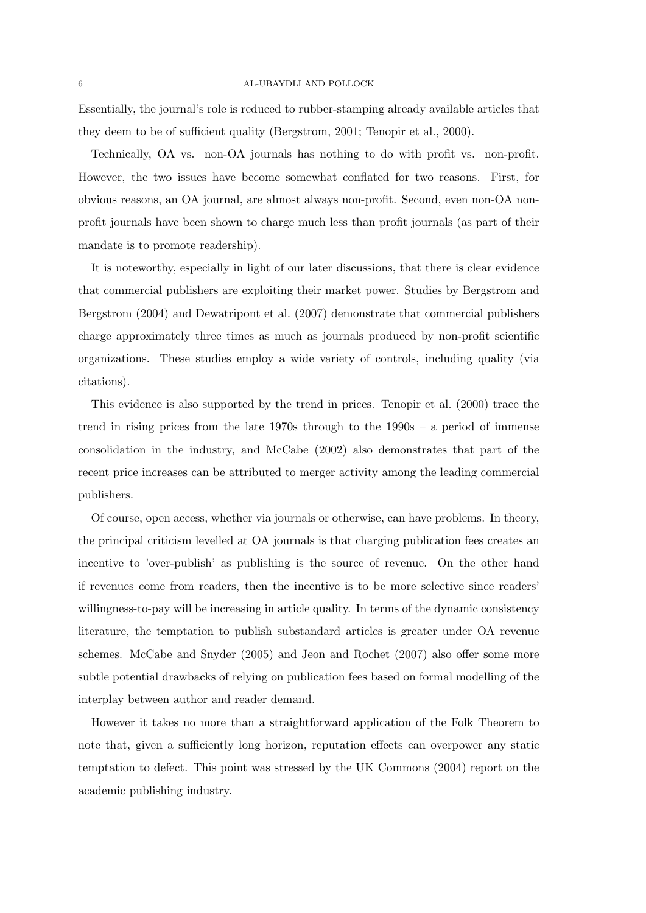Essentially, the journal's role is reduced to rubber-stamping already available articles that they deem to be of sufficient quality (Bergstrom, 2001; Tenopir et al., 2000).

Technically, OA vs. non-OA journals has nothing to do with profit vs. non-profit. However, the two issues have become somewhat conflated for two reasons. First, for obvious reasons, an OA journal, are almost always non-profit. Second, even non-OA nonprofit journals have been shown to charge much less than profit journals (as part of their mandate is to promote readership).

It is noteworthy, especially in light of our later discussions, that there is clear evidence that commercial publishers are exploiting their market power. Studies by Bergstrom and Bergstrom (2004) and Dewatripont et al. (2007) demonstrate that commercial publishers charge approximately three times as much as journals produced by non-profit scientific organizations. These studies employ a wide variety of controls, including quality (via citations).

This evidence is also supported by the trend in prices. Tenopir et al. (2000) trace the trend in rising prices from the late 1970s through to the 1990s – a period of immense consolidation in the industry, and McCabe (2002) also demonstrates that part of the recent price increases can be attributed to merger activity among the leading commercial publishers.

Of course, open access, whether via journals or otherwise, can have problems. In theory, the principal criticism levelled at OA journals is that charging publication fees creates an incentive to 'over-publish' as publishing is the source of revenue. On the other hand if revenues come from readers, then the incentive is to be more selective since readers' willingness-to-pay will be increasing in article quality. In terms of the dynamic consistency literature, the temptation to publish substandard articles is greater under OA revenue schemes. McCabe and Snyder (2005) and Jeon and Rochet (2007) also offer some more subtle potential drawbacks of relying on publication fees based on formal modelling of the interplay between author and reader demand.

However it takes no more than a straightforward application of the Folk Theorem to note that, given a sufficiently long horizon, reputation effects can overpower any static temptation to defect. This point was stressed by the UK Commons (2004) report on the academic publishing industry.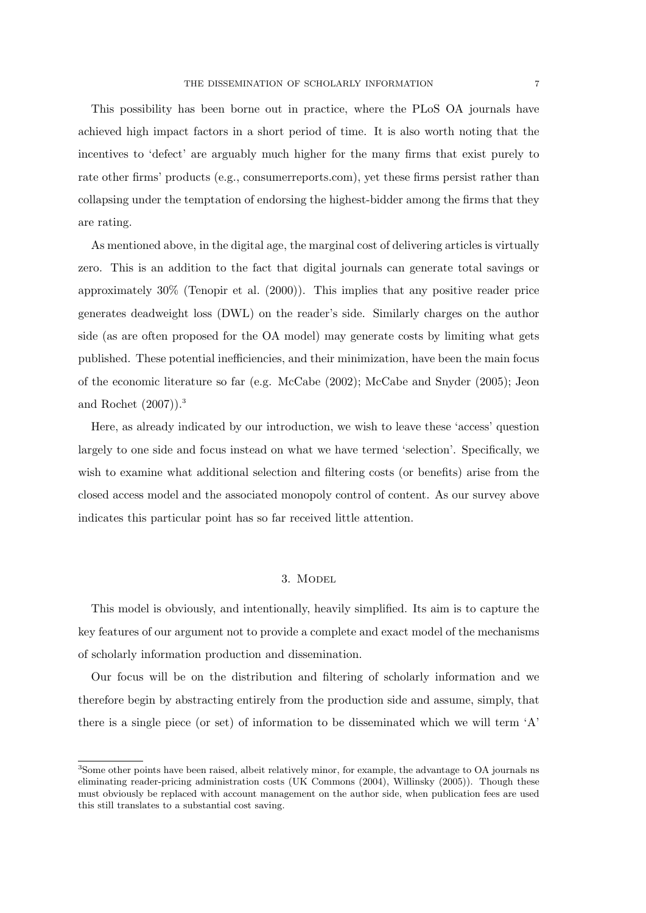This possibility has been borne out in practice, where the PLoS OA journals have achieved high impact factors in a short period of time. It is also worth noting that the incentives to 'defect' are arguably much higher for the many firms that exist purely to rate other firms' products (e.g., consumerreports.com), yet these firms persist rather than collapsing under the temptation of endorsing the highest-bidder among the firms that they are rating.

As mentioned above, in the digital age, the marginal cost of delivering articles is virtually zero. This is an addition to the fact that digital journals can generate total savings or approximately 30% (Tenopir et al. (2000)). This implies that any positive reader price generates deadweight loss (DWL) on the reader's side. Similarly charges on the author side (as are often proposed for the OA model) may generate costs by limiting what gets published. These potential inefficiencies, and their minimization, have been the main focus of the economic literature so far (e.g. McCabe (2002); McCabe and Snyder (2005); Jeon and Rochet (2007)).<sup>3</sup>

Here, as already indicated by our introduction, we wish to leave these 'access' question largely to one side and focus instead on what we have termed 'selection'. Specifically, we wish to examine what additional selection and filtering costs (or benefits) arise from the closed access model and the associated monopoly control of content. As our survey above indicates this particular point has so far received little attention.

# 3. Model

This model is obviously, and intentionally, heavily simplified. Its aim is to capture the key features of our argument not to provide a complete and exact model of the mechanisms of scholarly information production and dissemination.

Our focus will be on the distribution and filtering of scholarly information and we therefore begin by abstracting entirely from the production side and assume, simply, that there is a single piece (or set) of information to be disseminated which we will term 'A'

<sup>3</sup>Some other points have been raised, albeit relatively minor, for example, the advantage to OA journals ns eliminating reader-pricing administration costs (UK Commons (2004), Willinsky (2005)). Though these must obviously be replaced with account management on the author side, when publication fees are used this still translates to a substantial cost saving.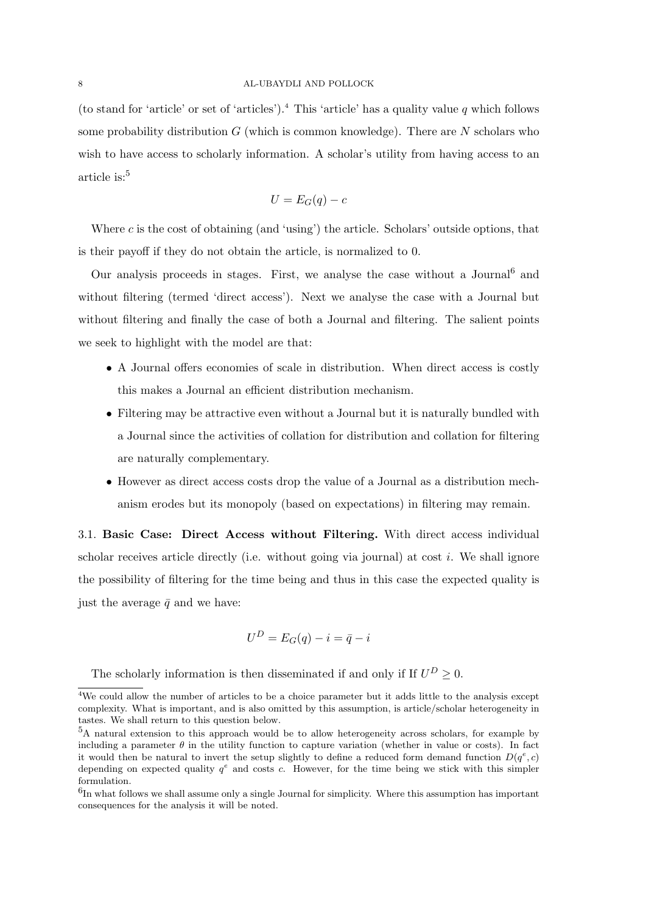(to stand for 'article' or set of 'articles').<sup>4</sup> This 'article' has a quality value q which follows some probability distribution  $G$  (which is common knowledge). There are  $N$  scholars who wish to have access to scholarly information. A scholar's utility from having access to an article is: $5$ 

$$
U = E_G(q) - c
$$

Where  $c$  is the cost of obtaining (and 'using') the article. Scholars' outside options, that is their payoff if they do not obtain the article, is normalized to 0.

Our analysis proceeds in stages. First, we analyse the case without a Journal<sup>6</sup> and without filtering (termed 'direct access'). Next we analyse the case with a Journal but without filtering and finally the case of both a Journal and filtering. The salient points we seek to highlight with the model are that:

- A Journal offers economies of scale in distribution. When direct access is costly this makes a Journal an efficient distribution mechanism.
- Filtering may be attractive even without a Journal but it is naturally bundled with a Journal since the activities of collation for distribution and collation for filtering are naturally complementary.
- However as direct access costs drop the value of a Journal as a distribution mechanism erodes but its monopoly (based on expectations) in filtering may remain.

3.1. Basic Case: Direct Access without Filtering. With direct access individual scholar receives article directly (i.e. without going via journal) at cost  $i$ . We shall ignore the possibility of filtering for the time being and thus in this case the expected quality is just the average  $\bar{q}$  and we have:

$$
U^D = E_G(q) - i = \bar{q} - i
$$

The scholarly information is then disseminated if and only if If  $U^D \geq 0$ .

<sup>&</sup>lt;sup>4</sup>We could allow the number of articles to be a choice parameter but it adds little to the analysis except complexity. What is important, and is also omitted by this assumption, is article/scholar heterogeneity in tastes. We shall return to this question below.

<sup>5</sup>A natural extension to this approach would be to allow heterogeneity across scholars, for example by including a parameter  $\theta$  in the utility function to capture variation (whether in value or costs). In fact it would then be natural to invert the setup slightly to define a reduced form demand function  $D(q^e, c)$ depending on expected quality  $q^e$  and costs c. However, for the time being we stick with this simpler formulation.

 ${}^{6}$ In what follows we shall assume only a single Journal for simplicity. Where this assumption has important consequences for the analysis it will be noted.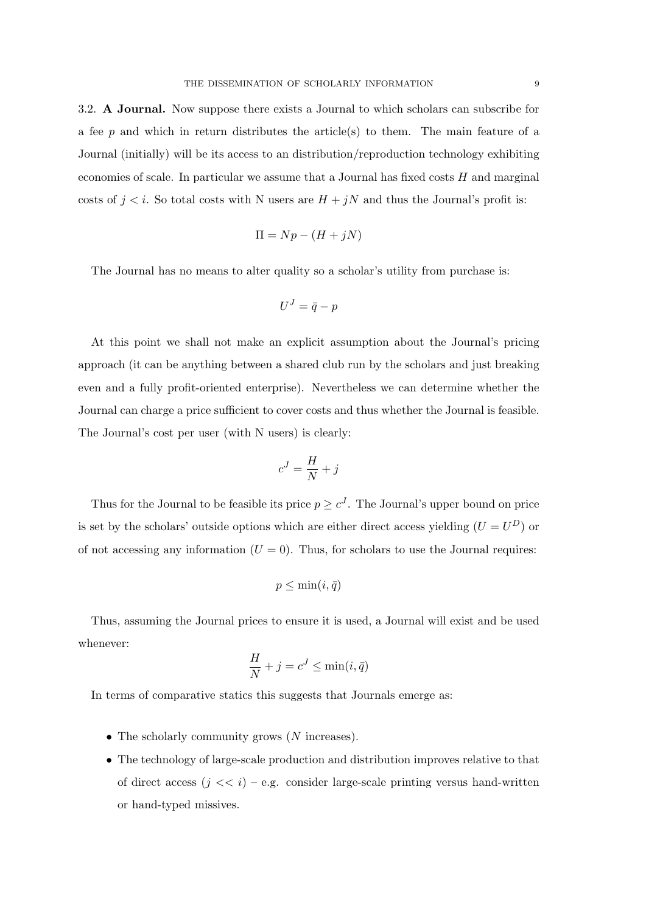3.2. A Journal. Now suppose there exists a Journal to which scholars can subscribe for a fee  $p$  and which in return distributes the article(s) to them. The main feature of a Journal (initially) will be its access to an distribution/reproduction technology exhibiting economies of scale. In particular we assume that a Journal has fixed costs  $H$  and marginal costs of  $j < i$ . So total costs with N users are  $H + jN$  and thus the Journal's profit is:

$$
\Pi = Np - (H + jN)
$$

The Journal has no means to alter quality so a scholar's utility from purchase is:

$$
U^J = \bar{q} - p
$$

At this point we shall not make an explicit assumption about the Journal's pricing approach (it can be anything between a shared club run by the scholars and just breaking even and a fully profit-oriented enterprise). Nevertheless we can determine whether the Journal can charge a price sufficient to cover costs and thus whether the Journal is feasible. The Journal's cost per user (with N users) is clearly:

$$
c^J=\frac{H}{N}+j
$$

Thus for the Journal to be feasible its price  $p \geq c^{J}$ . The Journal's upper bound on price is set by the scholars' outside options which are either direct access yielding  $(U = U^D)$  or of not accessing any information  $(U = 0)$ . Thus, for scholars to use the Journal requires:

$$
p \leq \min(i, \bar{q})
$$

Thus, assuming the Journal prices to ensure it is used, a Journal will exist and be used whenever:

$$
\frac{H}{N} + j = c^J \le \min(i, \bar{q})
$$

In terms of comparative statics this suggests that Journals emerge as:

- The scholarly community grows  $(N \text{ increases}).$
- The technology of large-scale production and distribution improves relative to that of direct access  $(j \ll i)$  – e.g. consider large-scale printing versus hand-written or hand-typed missives.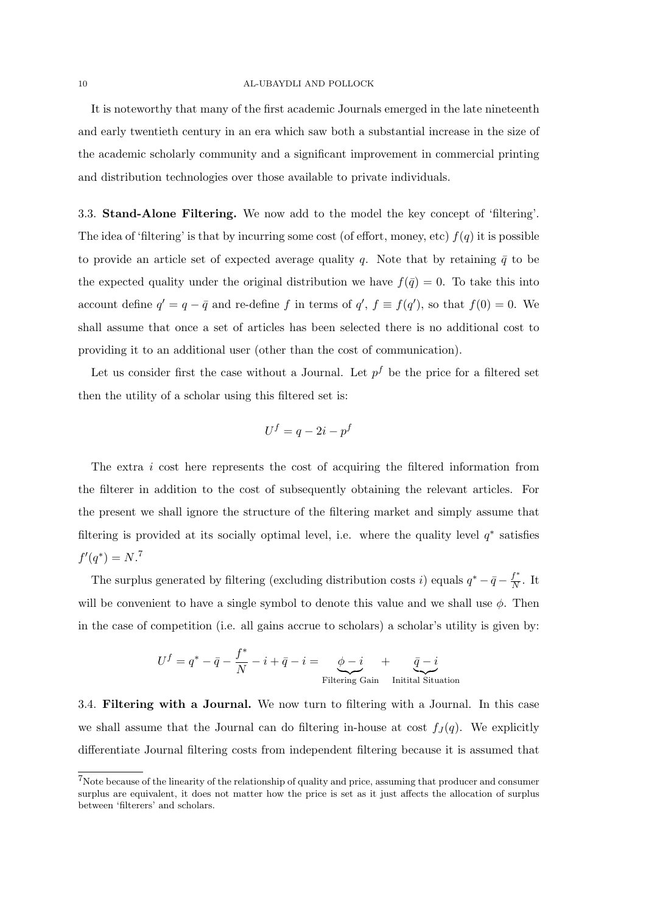#### 10 AL-UBAYDLI AND POLLOCK

It is noteworthy that many of the first academic Journals emerged in the late nineteenth and early twentieth century in an era which saw both a substantial increase in the size of the academic scholarly community and a significant improvement in commercial printing and distribution technologies over those available to private individuals.

3.3. Stand-Alone Filtering. We now add to the model the key concept of 'filtering'. The idea of 'filtering' is that by incurring some cost (of effort, money, etc)  $f(q)$  it is possible to provide an article set of expected average quality q. Note that by retaining  $\bar{q}$  to be the expected quality under the original distribution we have  $f(\bar{q}) = 0$ . To take this into account define  $q' = q - \bar{q}$  and re-define f in terms of  $q'$ ,  $f \equiv f(q')$ , so that  $f(0) = 0$ . We shall assume that once a set of articles has been selected there is no additional cost to providing it to an additional user (other than the cost of communication).

Let us consider first the case without a Journal. Let  $p^f$  be the price for a filtered set then the utility of a scholar using this filtered set is:

$$
U^f = q - 2i - p^f
$$

The extra  $i$  cost here represents the cost of acquiring the filtered information from the filterer in addition to the cost of subsequently obtaining the relevant articles. For the present we shall ignore the structure of the filtering market and simply assume that filtering is provided at its socially optimal level, i.e. where the quality level  $q^*$  satisfies  $f'(q^*) = N$ <sup>7</sup>

The surplus generated by filtering (excluding distribution costs i) equals  $q^* - \bar{q} - \frac{f^*}{N}$  $\frac{J}{N}$ . It will be convenient to have a single symbol to denote this value and we shall use  $\phi$ . Then in the case of competition (i.e. all gains accrue to scholars) a scholar's utility is given by:

$$
U^f = q^* - \bar{q} - \frac{f^*}{N} - i + \bar{q} - i = \underbrace{\phi - i}_{\text{Filtering Gain}} + \underbrace{\bar{q} - i}_{\text{Initial Situation}}
$$

3.4. Filtering with a Journal. We now turn to filtering with a Journal. In this case we shall assume that the Journal can do filtering in-house at cost  $f_J(q)$ . We explicitly differentiate Journal filtering costs from independent filtering because it is assumed that

<sup>7</sup>Note because of the linearity of the relationship of quality and price, assuming that producer and consumer surplus are equivalent, it does not matter how the price is set as it just affects the allocation of surplus between 'filterers' and scholars.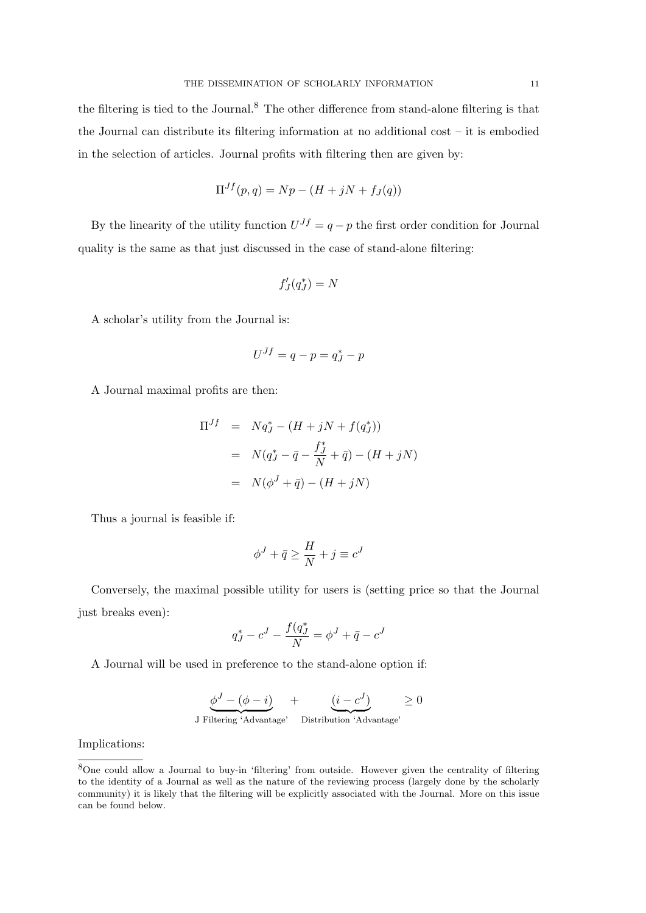the filtering is tied to the Journal.<sup>8</sup> The other difference from stand-alone filtering is that the Journal can distribute its filtering information at no additional cost – it is embodied in the selection of articles. Journal profits with filtering then are given by:

$$
\Pi^{Jf}(p,q) = Np - (H + jN + f_J(q))
$$

By the linearity of the utility function  $U^{Jf} = q - p$  the first order condition for Journal quality is the same as that just discussed in the case of stand-alone filtering:

$$
f_{J}^{\prime}(q_{J}^{*})=N
$$

A scholar's utility from the Journal is:

$$
U^{Jf} = q - p = q_J^* - p
$$

A Journal maximal profits are then:

$$
\Pi^{Jf} = Nq_J^* - (H + jN + f(q_J^*))
$$
  
=  $N(q_J^* - \bar{q} - \frac{f_J^*}{N} + \bar{q}) - (H + jN)$   
=  $N(\phi^J + \bar{q}) - (H + jN)$ 

Thus a journal is feasible if:

$$
\phi^J + \bar{q} \geq \frac{H}{N} + j \equiv c^J
$$

Conversely, the maximal possible utility for users is (setting price so that the Journal just breaks even):

$$
q^*_{J} - c^{J} - \frac{f(q^*_{J}}{N} = \phi^{J} + \bar{q} - c^{J}
$$

A Journal will be used in preference to the stand-alone option if:

$$
\underbrace{\phi^J - (\phi - i)}_{\text{J Filtering 'Advantage'}} + \underbrace{(i - c^J)}_{\text{Distribution 'Advantage'}} \ge 0
$$

Implications:

<sup>8</sup>One could allow a Journal to buy-in 'filtering' from outside. However given the centrality of filtering to the identity of a Journal as well as the nature of the reviewing process (largely done by the scholarly community) it is likely that the filtering will be explicitly associated with the Journal. More on this issue can be found below.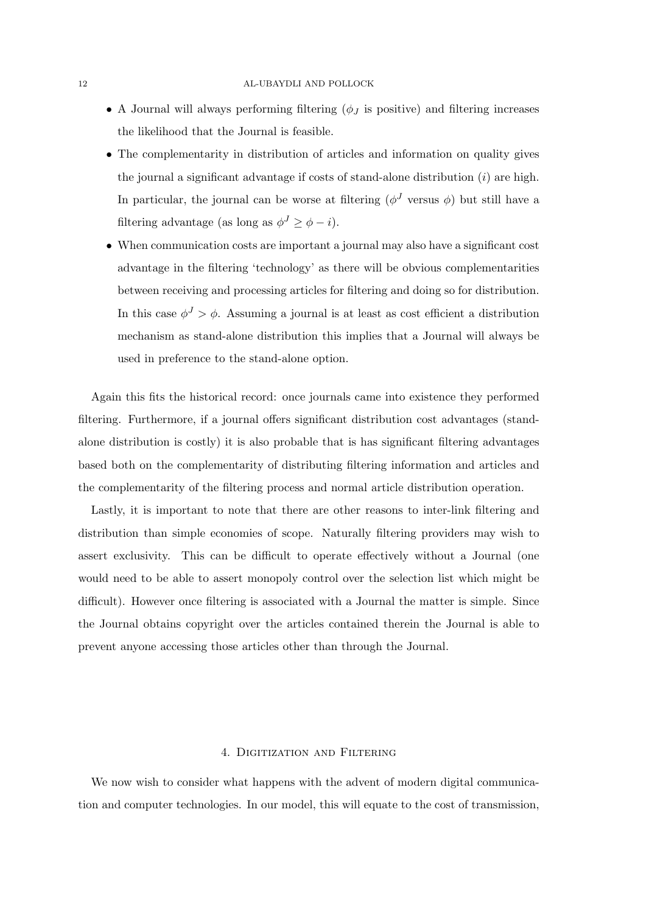- A Journal will always performing filtering  $(\phi_J)$  is positive) and filtering increases the likelihood that the Journal is feasible.
- The complementarity in distribution of articles and information on quality gives the journal a significant advantage if costs of stand-alone distribution  $(i)$  are high. In particular, the journal can be worse at filtering  $(\phi^J$  versus  $\phi)$  but still have a filtering advantage (as long as  $\phi^J \ge \phi - i$ ).
- When communication costs are important a journal may also have a significant cost advantage in the filtering 'technology' as there will be obvious complementarities between receiving and processing articles for filtering and doing so for distribution. In this case  $\phi^J > \phi$ . Assuming a journal is at least as cost efficient a distribution mechanism as stand-alone distribution this implies that a Journal will always be used in preference to the stand-alone option.

Again this fits the historical record: once journals came into existence they performed filtering. Furthermore, if a journal offers significant distribution cost advantages (standalone distribution is costly) it is also probable that is has significant filtering advantages based both on the complementarity of distributing filtering information and articles and the complementarity of the filtering process and normal article distribution operation.

Lastly, it is important to note that there are other reasons to inter-link filtering and distribution than simple economies of scope. Naturally filtering providers may wish to assert exclusivity. This can be difficult to operate effectively without a Journal (one would need to be able to assert monopoly control over the selection list which might be difficult). However once filtering is associated with a Journal the matter is simple. Since the Journal obtains copyright over the articles contained therein the Journal is able to prevent anyone accessing those articles other than through the Journal.

# 4. Digitization and Filtering

We now wish to consider what happens with the advent of modern digital communication and computer technologies. In our model, this will equate to the cost of transmission,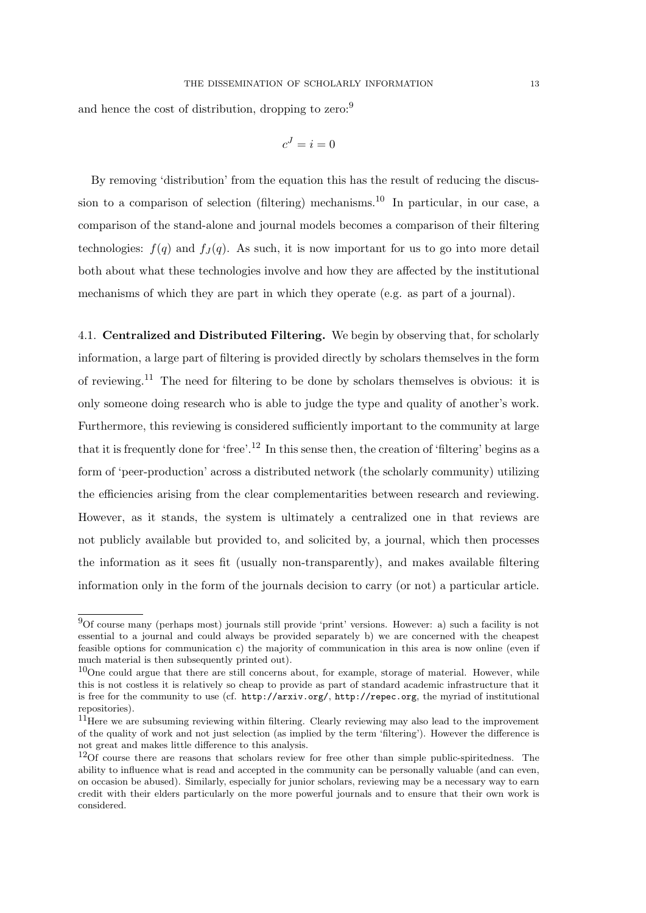and hence the cost of distribution, dropping to zero:<sup>9</sup>

$$
c^J=i=0
$$

By removing 'distribution' from the equation this has the result of reducing the discussion to a comparison of selection (filtering) mechanisms.<sup>10</sup> In particular, in our case, a comparison of the stand-alone and journal models becomes a comparison of their filtering technologies:  $f(q)$  and  $f<sub>J</sub>(q)$ . As such, it is now important for us to go into more detail both about what these technologies involve and how they are affected by the institutional mechanisms of which they are part in which they operate (e.g. as part of a journal).

4.1. Centralized and Distributed Filtering. We begin by observing that, for scholarly information, a large part of filtering is provided directly by scholars themselves in the form of reviewing.<sup>11</sup> The need for filtering to be done by scholars themselves is obvious: it is only someone doing research who is able to judge the type and quality of another's work. Furthermore, this reviewing is considered sufficiently important to the community at large that it is frequently done for 'free'.<sup>12</sup> In this sense then, the creation of 'filtering' begins as a form of 'peer-production' across a distributed network (the scholarly community) utilizing the efficiencies arising from the clear complementarities between research and reviewing. However, as it stands, the system is ultimately a centralized one in that reviews are not publicly available but provided to, and solicited by, a journal, which then processes the information as it sees fit (usually non-transparently), and makes available filtering information only in the form of the journals decision to carry (or not) a particular article.

<sup>9</sup>Of course many (perhaps most) journals still provide 'print' versions. However: a) such a facility is not essential to a journal and could always be provided separately b) we are concerned with the cheapest feasible options for communication c) the majority of communication in this area is now online (even if much material is then subsequently printed out).

 $10$ One could argue that there are still concerns about, for example, storage of material. However, while this is not costless it is relatively so cheap to provide as part of standard academic infrastructure that it is free for the community to use (cf. http://arxiv.org/, http://repec.org, the myriad of institutional repositories).

<sup>&</sup>lt;sup>11</sup>Here we are subsuming reviewing within filtering. Clearly reviewing may also lead to the improvement of the quality of work and not just selection (as implied by the term 'filtering'). However the difference is not great and makes little difference to this analysis.

 $12$ Of course there are reasons that scholars review for free other than simple public-spiritedness. The ability to influence what is read and accepted in the community can be personally valuable (and can even, on occasion be abused). Similarly, especially for junior scholars, reviewing may be a necessary way to earn credit with their elders particularly on the more powerful journals and to ensure that their own work is considered.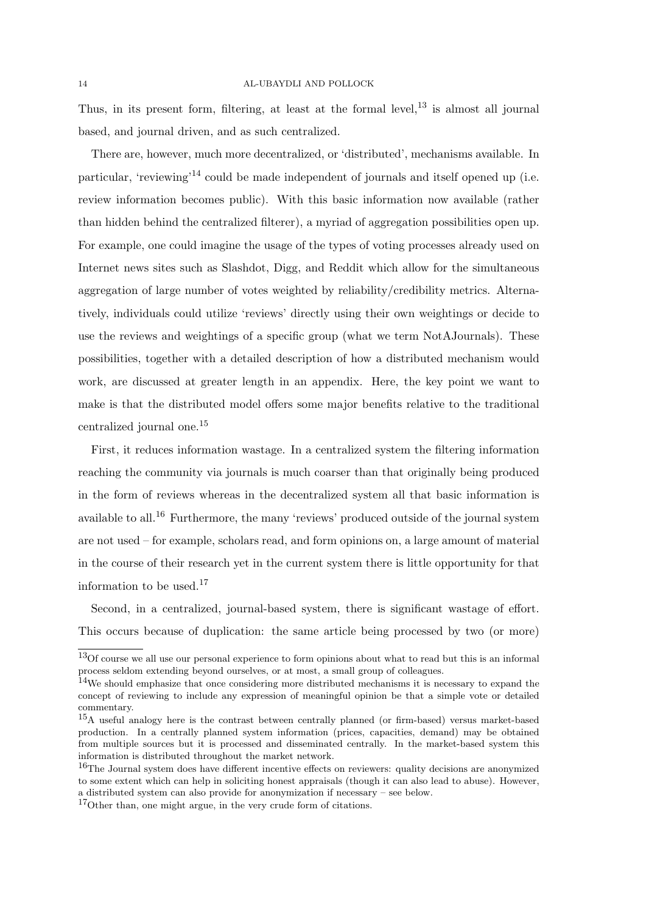Thus, in its present form, filtering, at least at the formal level, $^{13}$  is almost all journal based, and journal driven, and as such centralized.

There are, however, much more decentralized, or 'distributed', mechanisms available. In particular, 'reviewing'<sup>14</sup> could be made independent of journals and itself opened up (i.e. review information becomes public). With this basic information now available (rather than hidden behind the centralized filterer), a myriad of aggregation possibilities open up. For example, one could imagine the usage of the types of voting processes already used on Internet news sites such as Slashdot, Digg, and Reddit which allow for the simultaneous aggregation of large number of votes weighted by reliability/credibility metrics. Alternatively, individuals could utilize 'reviews' directly using their own weightings or decide to use the reviews and weightings of a specific group (what we term NotAJournals). These possibilities, together with a detailed description of how a distributed mechanism would work, are discussed at greater length in an appendix. Here, the key point we want to make is that the distributed model offers some major benefits relative to the traditional centralized journal one.<sup>15</sup>

First, it reduces information wastage. In a centralized system the filtering information reaching the community via journals is much coarser than that originally being produced in the form of reviews whereas in the decentralized system all that basic information is available to all.<sup>16</sup> Furthermore, the many 'reviews' produced outside of the journal system are not used – for example, scholars read, and form opinions on, a large amount of material in the course of their research yet in the current system there is little opportunity for that information to be used. $17$ 

Second, in a centralized, journal-based system, there is significant wastage of effort. This occurs because of duplication: the same article being processed by two (or more)

<sup>13</sup>Of course we all use our personal experience to form opinions about what to read but this is an informal process seldom extending beyond ourselves, or at most, a small group of colleagues.

<sup>14</sup>We should emphasize that once considering more distributed mechanisms it is necessary to expand the concept of reviewing to include any expression of meaningful opinion be that a simple vote or detailed commentary.

<sup>15</sup>A useful analogy here is the contrast between centrally planned (or firm-based) versus market-based production. In a centrally planned system information (prices, capacities, demand) may be obtained from multiple sources but it is processed and disseminated centrally. In the market-based system this information is distributed throughout the market network.

<sup>&</sup>lt;sup>16</sup>The Journal system does have different incentive effects on reviewers: quality decisions are anonymized to some extent which can help in soliciting honest appraisals (though it can also lead to abuse). However, a distributed system can also provide for anonymization if necessary – see below.

<sup>17</sup>Other than, one might argue, in the very crude form of citations.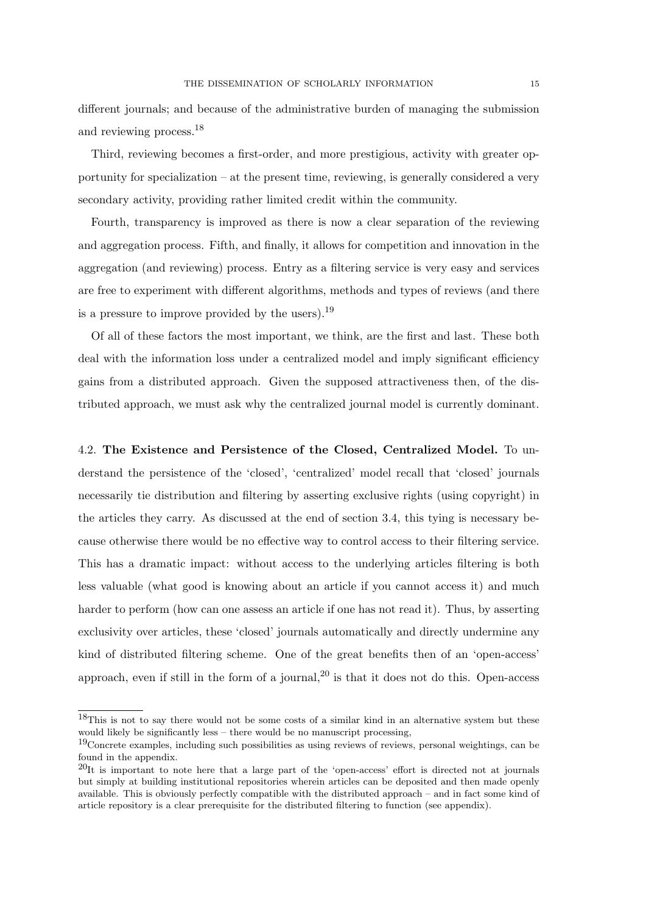different journals; and because of the administrative burden of managing the submission and reviewing process.<sup>18</sup>

Third, reviewing becomes a first-order, and more prestigious, activity with greater opportunity for specialization – at the present time, reviewing, is generally considered a very secondary activity, providing rather limited credit within the community.

Fourth, transparency is improved as there is now a clear separation of the reviewing and aggregation process. Fifth, and finally, it allows for competition and innovation in the aggregation (and reviewing) process. Entry as a filtering service is very easy and services are free to experiment with different algorithms, methods and types of reviews (and there is a pressure to improve provided by the users).<sup>19</sup>

Of all of these factors the most important, we think, are the first and last. These both deal with the information loss under a centralized model and imply significant efficiency gains from a distributed approach. Given the supposed attractiveness then, of the distributed approach, we must ask why the centralized journal model is currently dominant.

4.2. The Existence and Persistence of the Closed, Centralized Model. To understand the persistence of the 'closed', 'centralized' model recall that 'closed' journals necessarily tie distribution and filtering by asserting exclusive rights (using copyright) in the articles they carry. As discussed at the end of section 3.4, this tying is necessary because otherwise there would be no effective way to control access to their filtering service. This has a dramatic impact: without access to the underlying articles filtering is both less valuable (what good is knowing about an article if you cannot access it) and much harder to perform (how can one assess an article if one has not read it). Thus, by asserting exclusivity over articles, these 'closed' journals automatically and directly undermine any kind of distributed filtering scheme. One of the great benefits then of an 'open-access' approach, even if still in the form of a journal,  $2<sup>0</sup>$  is that it does not do this. Open-access

<sup>18</sup>This is not to say there would not be some costs of a similar kind in an alternative system but these would likely be significantly less – there would be no manuscript processing,

<sup>&</sup>lt;sup>19</sup>Concrete examples, including such possibilities as using reviews of reviews, personal weightings, can be found in the appendix.

 $^{20}$ It is important to note here that a large part of the 'open-access' effort is directed not at journals but simply at building institutional repositories wherein articles can be deposited and then made openly available. This is obviously perfectly compatible with the distributed approach – and in fact some kind of article repository is a clear prerequisite for the distributed filtering to function (see appendix).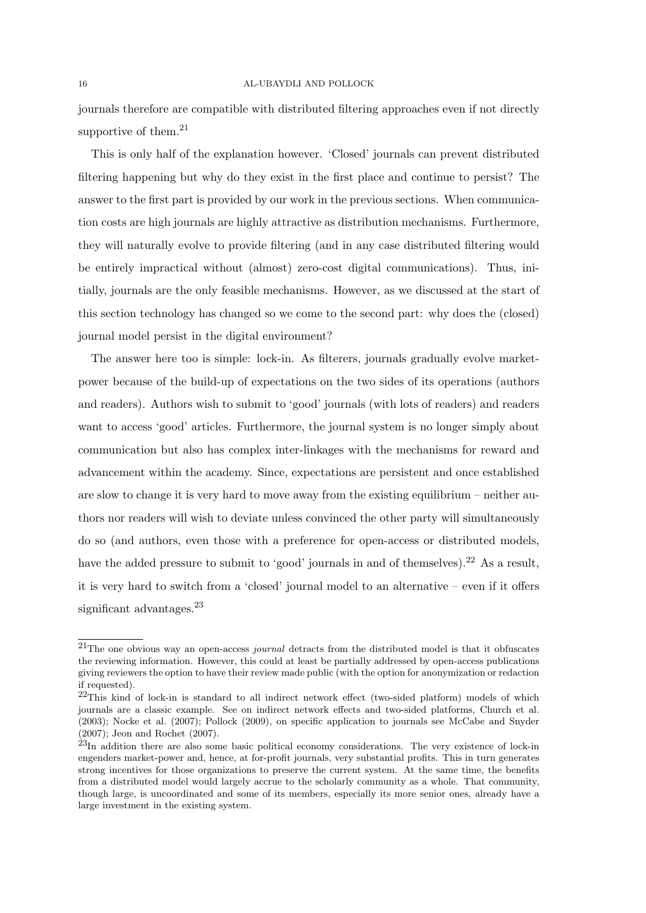journals therefore are compatible with distributed filtering approaches even if not directly supportive of them. $^{21}$ 

This is only half of the explanation however. 'Closed' journals can prevent distributed filtering happening but why do they exist in the first place and continue to persist? The answer to the first part is provided by our work in the previous sections. When communication costs are high journals are highly attractive as distribution mechanisms. Furthermore, they will naturally evolve to provide filtering (and in any case distributed filtering would be entirely impractical without (almost) zero-cost digital communications). Thus, initially, journals are the only feasible mechanisms. However, as we discussed at the start of this section technology has changed so we come to the second part: why does the (closed) journal model persist in the digital environment?

The answer here too is simple: lock-in. As filterers, journals gradually evolve marketpower because of the build-up of expectations on the two sides of its operations (authors and readers). Authors wish to submit to 'good' journals (with lots of readers) and readers want to access 'good' articles. Furthermore, the journal system is no longer simply about communication but also has complex inter-linkages with the mechanisms for reward and advancement within the academy. Since, expectations are persistent and once established are slow to change it is very hard to move away from the existing equilibrium – neither authors nor readers will wish to deviate unless convinced the other party will simultaneously do so (and authors, even those with a preference for open-access or distributed models, have the added pressure to submit to 'good' journals in and of themselves).<sup>22</sup> As a result, it is very hard to switch from a 'closed' journal model to an alternative – even if it offers significant advantages.<sup>23</sup>

 $21$ The one obvious way an open-access *journal* detracts from the distributed model is that it obfuscates the reviewing information. However, this could at least be partially addressed by open-access publications giving reviewers the option to have their review made public (with the option for anonymization or redaction if requested).

 $22$ This kind of lock-in is standard to all indirect network effect (two-sided platform) models of which journals are a classic example. See on indirect network effects and two-sided platforms, Church et al. (2003); Nocke et al. (2007); Pollock (2009), on specific application to journals see McCabe and Snyder (2007); Jeon and Rochet (2007).

<sup>&</sup>lt;sup>23</sup>In addition there are also some basic political economy considerations. The very existence of lock-in engenders market-power and, hence, at for-profit journals, very substantial profits. This in turn generates strong incentives for those organizations to preserve the current system. At the same time, the benefits from a distributed model would largely accrue to the scholarly community as a whole. That community, though large, is uncoordinated and some of its members, especially its more senior ones, already have a large investment in the existing system.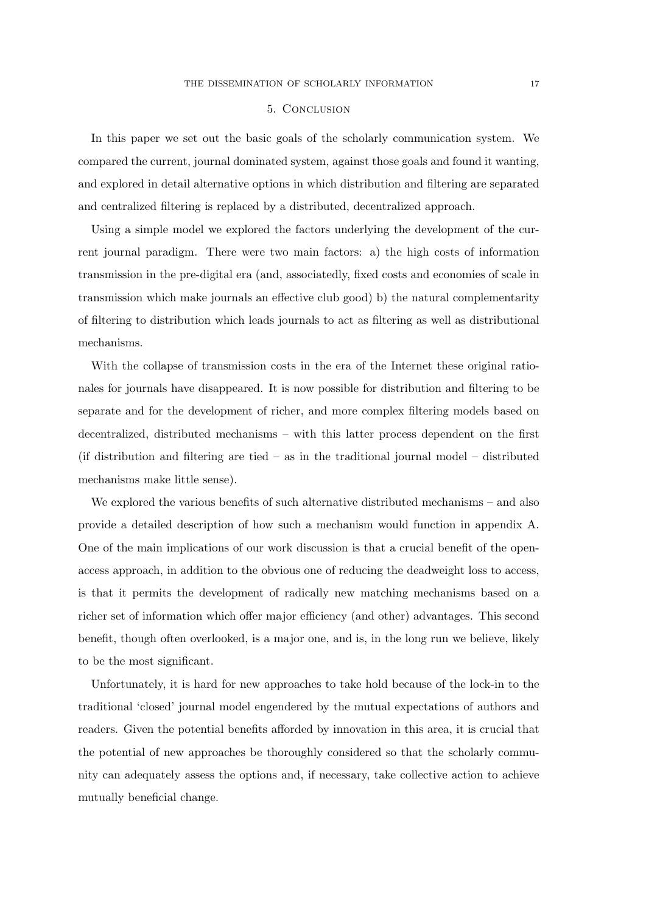#### 5. Conclusion

In this paper we set out the basic goals of the scholarly communication system. We compared the current, journal dominated system, against those goals and found it wanting, and explored in detail alternative options in which distribution and filtering are separated and centralized filtering is replaced by a distributed, decentralized approach.

Using a simple model we explored the factors underlying the development of the current journal paradigm. There were two main factors: a) the high costs of information transmission in the pre-digital era (and, associatedly, fixed costs and economies of scale in transmission which make journals an effective club good) b) the natural complementarity of filtering to distribution which leads journals to act as filtering as well as distributional mechanisms.

With the collapse of transmission costs in the era of the Internet these original rationales for journals have disappeared. It is now possible for distribution and filtering to be separate and for the development of richer, and more complex filtering models based on decentralized, distributed mechanisms – with this latter process dependent on the first (if distribution and filtering are tied – as in the traditional journal model – distributed mechanisms make little sense).

We explored the various benefits of such alternative distributed mechanisms – and also provide a detailed description of how such a mechanism would function in appendix A. One of the main implications of our work discussion is that a crucial benefit of the openaccess approach, in addition to the obvious one of reducing the deadweight loss to access, is that it permits the development of radically new matching mechanisms based on a richer set of information which offer major efficiency (and other) advantages. This second benefit, though often overlooked, is a major one, and is, in the long run we believe, likely to be the most significant.

Unfortunately, it is hard for new approaches to take hold because of the lock-in to the traditional 'closed' journal model engendered by the mutual expectations of authors and readers. Given the potential benefits afforded by innovation in this area, it is crucial that the potential of new approaches be thoroughly considered so that the scholarly community can adequately assess the options and, if necessary, take collective action to achieve mutually beneficial change.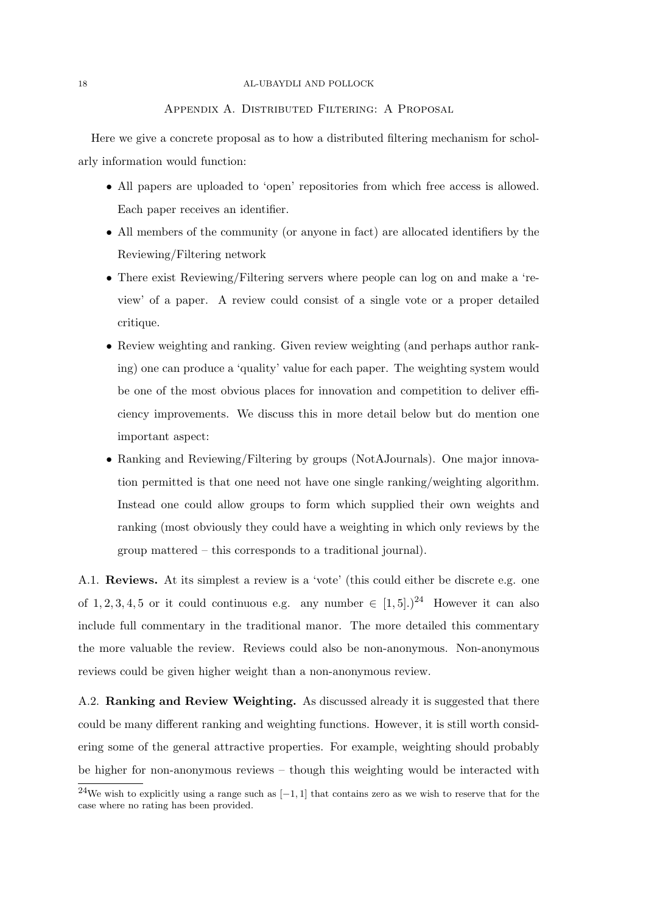## Appendix A. Distributed Filtering: A Proposal

Here we give a concrete proposal as to how a distributed filtering mechanism for scholarly information would function:

- All papers are uploaded to 'open' repositories from which free access is allowed. Each paper receives an identifier.
- All members of the community (or anyone in fact) are allocated identifiers by the Reviewing/Filtering network
- There exist Reviewing/Filtering servers where people can log on and make a 'review' of a paper. A review could consist of a single vote or a proper detailed critique.
- Review weighting and ranking. Given review weighting (and perhaps author ranking) one can produce a 'quality' value for each paper. The weighting system would be one of the most obvious places for innovation and competition to deliver efficiency improvements. We discuss this in more detail below but do mention one important aspect:
- Ranking and Reviewing/Filtering by groups (NotAJournals). One major innovation permitted is that one need not have one single ranking/weighting algorithm. Instead one could allow groups to form which supplied their own weights and ranking (most obviously they could have a weighting in which only reviews by the group mattered – this corresponds to a traditional journal).

A.1. Reviews. At its simplest a review is a 'vote' (this could either be discrete e.g. one of 1, 2, 3, 4, 5 or it could continuous e.g. any number  $\in [1, 5]$ .)<sup>24</sup> However it can also include full commentary in the traditional manor. The more detailed this commentary the more valuable the review. Reviews could also be non-anonymous. Non-anonymous reviews could be given higher weight than a non-anonymous review.

A.2. **Ranking and Review Weighting.** As discussed already it is suggested that there could be many different ranking and weighting functions. However, it is still worth considering some of the general attractive properties. For example, weighting should probably be higher for non-anonymous reviews – though this weighting would be interacted with

<sup>&</sup>lt;sup>24</sup>We wish to explicitly using a range such as  $[-1, 1]$  that contains zero as we wish to reserve that for the case where no rating has been provided.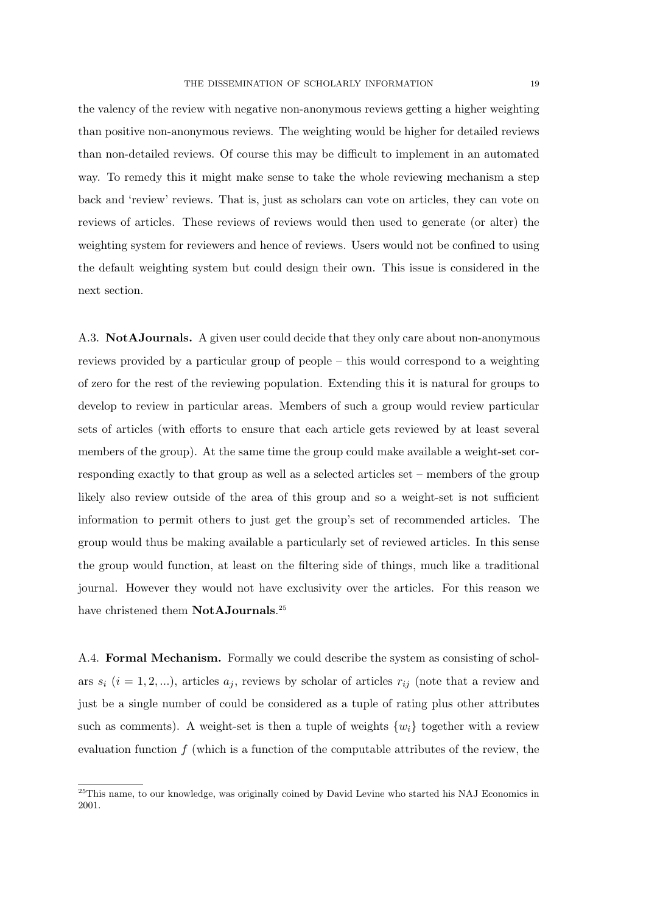the valency of the review with negative non-anonymous reviews getting a higher weighting than positive non-anonymous reviews. The weighting would be higher for detailed reviews than non-detailed reviews. Of course this may be difficult to implement in an automated way. To remedy this it might make sense to take the whole reviewing mechanism a step back and 'review' reviews. That is, just as scholars can vote on articles, they can vote on reviews of articles. These reviews of reviews would then used to generate (or alter) the weighting system for reviewers and hence of reviews. Users would not be confined to using the default weighting system but could design their own. This issue is considered in the next section.

A.3. NotAJournals. A given user could decide that they only care about non-anonymous reviews provided by a particular group of people – this would correspond to a weighting of zero for the rest of the reviewing population. Extending this it is natural for groups to develop to review in particular areas. Members of such a group would review particular sets of articles (with efforts to ensure that each article gets reviewed by at least several members of the group). At the same time the group could make available a weight-set corresponding exactly to that group as well as a selected articles set – members of the group likely also review outside of the area of this group and so a weight-set is not sufficient information to permit others to just get the group's set of recommended articles. The group would thus be making available a particularly set of reviewed articles. In this sense the group would function, at least on the filtering side of things, much like a traditional journal. However they would not have exclusivity over the articles. For this reason we have christened them NotAJournals.<sup>25</sup>

A.4. Formal Mechanism. Formally we could describe the system as consisting of scholars  $s_i$   $(i = 1, 2, ...)$ , articles  $a_j$ , reviews by scholar of articles  $r_{ij}$  (note that a review and just be a single number of could be considered as a tuple of rating plus other attributes such as comments). A weight-set is then a tuple of weights  $\{w_i\}$  together with a review evaluation function  $f$  (which is a function of the computable attributes of the review, the

<sup>&</sup>lt;sup>25</sup>This name, to our knowledge, was originally coined by David Levine who started his NAJ Economics in 2001.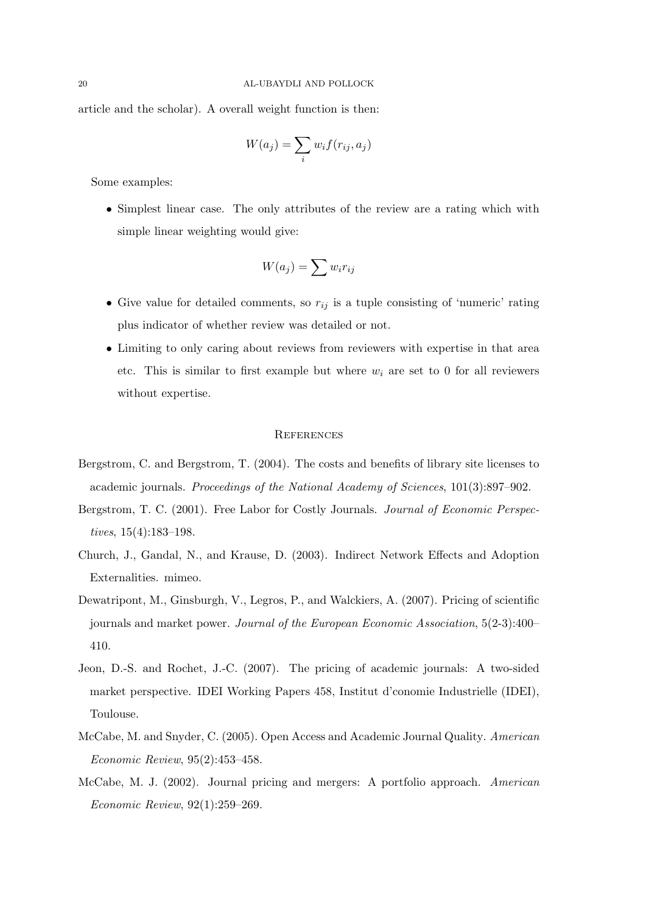article and the scholar). A overall weight function is then:

$$
W(a_j) = \sum_i w_i f(r_{ij}, a_j)
$$

Some examples:

• Simplest linear case. The only attributes of the review are a rating which with simple linear weighting would give:

$$
W(a_j) = \sum w_i r_{ij}
$$

- Give value for detailed comments, so  $r_{ij}$  is a tuple consisting of 'numeric' rating plus indicator of whether review was detailed or not.
- Limiting to only caring about reviews from reviewers with expertise in that area etc. This is similar to first example but where  $w_i$  are set to 0 for all reviewers without expertise.

### **REFERENCES**

- Bergstrom, C. and Bergstrom, T. (2004). The costs and benefits of library site licenses to academic journals. Proceedings of the National Academy of Sciences, 101(3):897–902.
- Bergstrom, T. C. (2001). Free Labor for Costly Journals. Journal of Economic Perspectives, 15(4):183–198.
- Church, J., Gandal, N., and Krause, D. (2003). Indirect Network Effects and Adoption Externalities. mimeo.
- Dewatripont, M., Ginsburgh, V., Legros, P., and Walckiers, A. (2007). Pricing of scientific journals and market power. Journal of the European Economic Association, 5(2-3):400– 410.
- Jeon, D.-S. and Rochet, J.-C. (2007). The pricing of academic journals: A two-sided market perspective. IDEI Working Papers 458, Institut d'conomie Industrielle (IDEI), Toulouse.
- McCabe, M. and Snyder, C. (2005). Open Access and Academic Journal Quality. American Economic Review, 95(2):453–458.
- McCabe, M. J. (2002). Journal pricing and mergers: A portfolio approach. American Economic Review, 92(1):259–269.